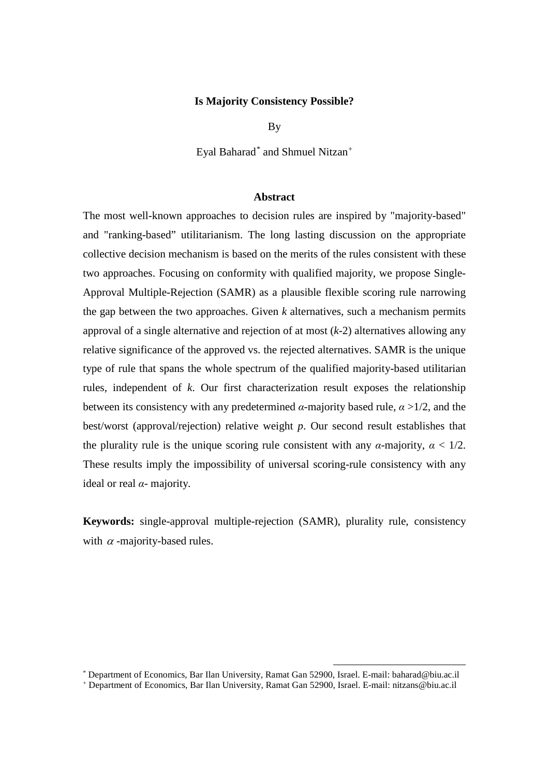#### **Is Majority Consistency Possible?**

By

Eyal Baharad[\\*](#page-0-0) and Shmuel Nitzan[+](#page-0-1)

## **Abstract**

The most well-known approaches to decision rules are inspired by "majority-based" and "ranking-based" utilitarianism. The long lasting discussion on the appropriate collective decision mechanism is based on the merits of the rules consistent with these two approaches. Focusing on conformity with qualified majority, we propose Single-Approval Multiple-Rejection (SAMR) as a plausible flexible scoring rule narrowing the gap between the two approaches. Given *k* alternatives, such a mechanism permits approval of a single alternative and rejection of at most (*k*-2) alternatives allowing any relative significance of the approved vs. the rejected alternatives. SAMR is the unique type of rule that spans the whole spectrum of the qualified majority-based utilitarian rules, independent of *k*. Our first characterization result exposes the relationship between its consistency with any predetermined  $\alpha$ -majority based rule,  $\alpha > 1/2$ , and the best/worst (approval/rejection) relative weight *p*. Our second result establishes that the plurality rule is the unique scoring rule consistent with any  $\alpha$ -majority,  $\alpha < 1/2$ . These results imply the impossibility of universal scoring-rule consistency with any ideal or real *α-* majority*.*

**Keywords:** single-approval multiple-rejection (SAMR), plurality rule, consistency with  $\alpha$  -majority-based rules.

<span id="page-0-0"></span> <sup>\*</sup> Department of Economics, Bar Ilan University, Ramat Gan 52900, Israel. E-mail: baharad@biu.ac.il

<span id="page-0-1"></span><sup>+</sup> Department of Economics, Bar Ilan University, Ramat Gan 52900, Israel. E-mail: nitzans@biu.ac.il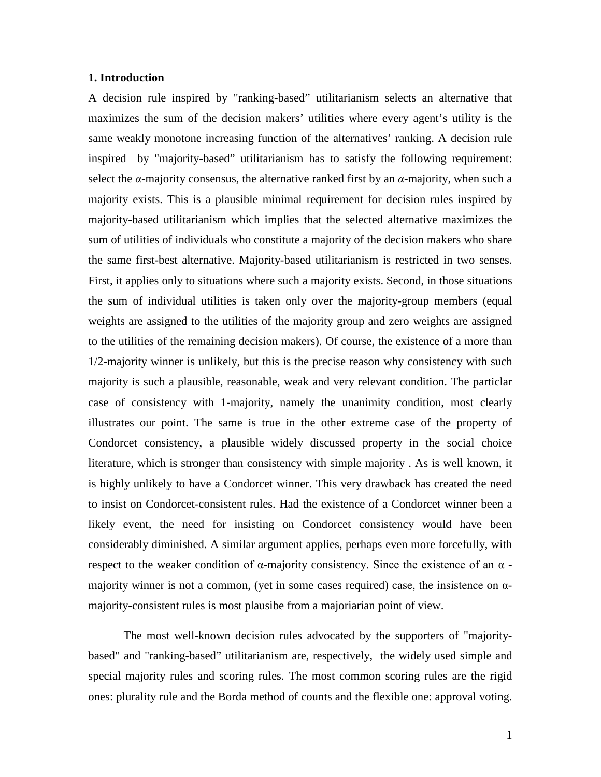## **1. Introduction**

A decision rule inspired by "ranking-based" utilitarianism selects an alternative that maximizes the sum of the decision makers' utilities where every agent's utility is the same weakly monotone increasing function of the alternatives' ranking. A decision rule inspired by "majority-based" utilitarianism has to satisfy the following requirement: select the  $\alpha$ -majority consensus, the alternative ranked first by an  $\alpha$ -majority, when such a majority exists. This is a plausible minimal requirement for decision rules inspired by majority-based utilitarianism which implies that the selected alternative maximizes the sum of utilities of individuals who constitute a majority of the decision makers who share the same first-best alternative. Majority-based utilitarianism is restricted in two senses. First, it applies only to situations where such a majority exists. Second, in those situations the sum of individual utilities is taken only over the majority-group members (equal weights are assigned to the utilities of the majority group and zero weights are assigned to the utilities of the remaining decision makers). Of course, the existence of a more than 1/2-majority winner is unlikely, but this is the precise reason why consistency with such majority is such a plausible, reasonable, weak and very relevant condition. The particlar case of consistency with 1-majority, namely the unanimity condition, most clearly illustrates our point. The same is true in the other extreme case of the property of Condorcet consistency, a plausible widely discussed property in the social choice literature, which is stronger than consistency with simple majority . As is well known, it is highly unlikely to have a Condorcet winner. This very drawback has created the need to insist on Condorcet-consistent rules. Had the existence of a Condorcet winner been a likely event, the need for insisting on Condorcet consistency would have been considerably diminished. A similar argument applies, perhaps even more forcefully, with respect to the weaker condition of α-majority consistency. Since the existence of an  $α$  majority winner is not a common, (yet in some cases required) case, the insistence on  $\alpha$ majority-consistent rules is most plausibe from a majoriarian point of view.

The most well-known decision rules advocated by the supporters of "majoritybased" and "ranking-based" utilitarianism are, respectively, the widely used simple and special majority rules and scoring rules. The most common scoring rules are the rigid ones: plurality rule and the Borda method of counts and the flexible one: approval voting.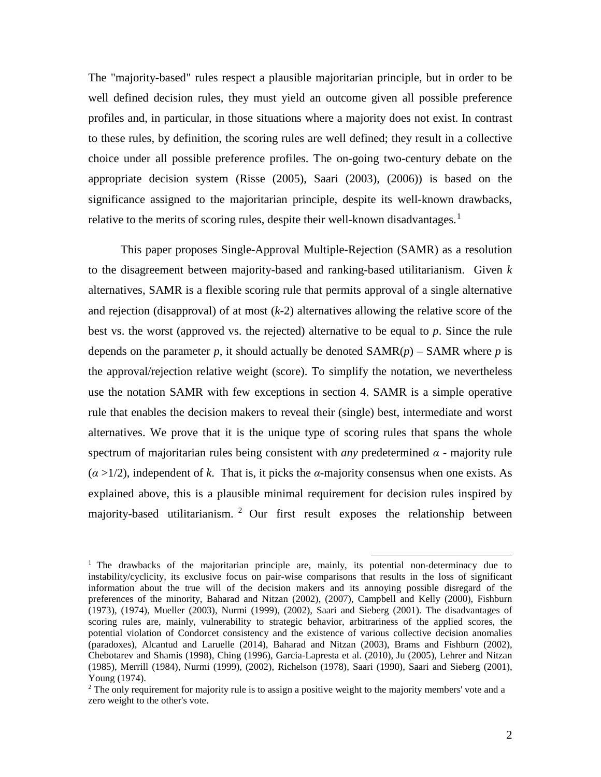The "majority-based" rules respect a plausible majoritarian principle, but in order to be well defined decision rules, they must yield an outcome given all possible preference profiles and, in particular, in those situations where a majority does not exist. In contrast to these rules, by definition, the scoring rules are well defined; they result in a collective choice under all possible preference profiles. The on-going two-century debate on the appropriate decision system (Risse (2005), Saari (2003), (2006)) is based on the significance assigned to the majoritarian principle, despite its well-known drawbacks, relative to the merits of scoring rules, despite their well-known disadvantages.<sup>[1](#page-2-0)</sup>

 This paper proposes Single-Approval Multiple-Rejection (SAMR) as a resolution to the disagreement between majority-based and ranking-based utilitarianism. Given *k* alternatives, SAMR is a flexible scoring rule that permits approval of a single alternative and rejection (disapproval) of at most (*k*-2) alternatives allowing the relative score of the best vs. the worst (approved vs. the rejected) alternative to be equal to *p*. Since the rule depends on the parameter *p*, it should actually be denoted  $SAMR(p)$  – SAMR where *p* is the approval/rejection relative weight (score). To simplify the notation, we nevertheless use the notation SAMR with few exceptions in section 4. SAMR is a simple operative rule that enables the decision makers to reveal their (single) best, intermediate and worst alternatives. We prove that it is the unique type of scoring rules that spans the whole spectrum of majoritarian rules being consistent with *any* predetermined *α* - majority rule (*α* >1/2), independent of *k*. That is, it picks the *α*-majority consensus when one exists. As explained above, this is a plausible minimal requirement for decision rules inspired by majority-based utilitarianism. [2](#page-2-1) Our first result exposes the relationship between

<span id="page-2-0"></span><sup>&</sup>lt;sup>1</sup> The drawbacks of the majoritarian principle are, mainly, its potential non-determinacy due to instability/cyclicity, its exclusive focus on pair-wise comparisons that results in the loss of significant information about the true will of the decision makers and its annoying possible disregard of the preferences of the minority, Baharad and Nitzan (2002), (2007), Campbell and Kelly (2000), Fishburn (1973), (1974), Mueller (2003), Nurmi (1999), (2002), Saari and Sieberg (2001). The disadvantages of scoring rules are, mainly, vulnerability to strategic behavior, arbitrariness of the applied scores, the potential violation of Condorcet consistency and the existence of various collective decision anomalies (paradoxes), Alcantud and Laruelle (2014), Baharad and Nitzan (2003), Brams and Fishburn (2002), Chebotarev and Shamis (1998), Ching (1996), Garcia-Lapresta et al. (2010), Ju (2005), Lehrer and Nitzan (1985), Merrill (1984), Nurmi (1999), (2002), Richelson (1978), Saari (1990), Saari and Sieberg (2001), Young (1974).

<span id="page-2-1"></span><sup>&</sup>lt;sup>2</sup> The only requirement for majority rule is to assign a positive weight to the majority members' vote and a zero weight to the other's vote.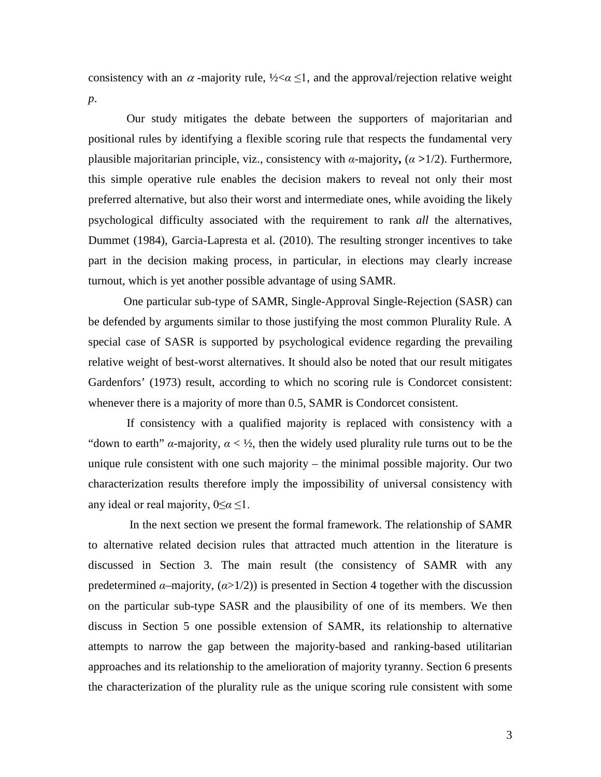consistency with an  $\alpha$ -majority rule,  $\frac{1}{2} < \alpha \leq 1$ , and the approval/rejection relative weight *p*.

Our study mitigates the debate between the supporters of majoritarian and positional rules by identifying a flexible scoring rule that respects the fundamental very plausible majoritarian principle, viz., consistency with *α*-majority**,** (*α* **>**1/2). Furthermore, this simple operative rule enables the decision makers to reveal not only their most preferred alternative, but also their worst and intermediate ones, while avoiding the likely psychological difficulty associated with the requirement to rank *all* the alternatives, Dummet (1984), Garcia-Lapresta et al. (2010). The resulting stronger incentives to take part in the decision making process, in particular, in elections may clearly increase turnout, which is yet another possible advantage of using SAMR.

One particular sub-type of SAMR, Single-Approval Single-Rejection (SASR) can be defended by arguments similar to those justifying the most common Plurality Rule. A special case of SASR is supported by psychological evidence regarding the prevailing relative weight of best-worst alternatives. It should also be noted that our result mitigates Gardenfors' (1973) result, according to which no scoring rule is Condorcet consistent: whenever there is a majority of more than 0.5, SAMR is Condorcet consistent.

If consistency with a qualified majority is replaced with consistency with a "down to earth"  $\alpha$ -majority,  $\alpha < \frac{1}{2}$ , then the widely used plurality rule turns out to be the unique rule consistent with one such majority – the minimal possible majority. Our two characterization results therefore imply the impossibility of universal consistency with any ideal or real majority, 0≤*α* ≤1.

 In the next section we present the formal framework. The relationship of SAMR to alternative related decision rules that attracted much attention in the literature is discussed in Section 3. The main result (the consistency of SAMR with any predetermined  $\alpha$ –majority,  $(\alpha > 1/2)$ ) is presented in Section 4 together with the discussion on the particular sub-type SASR and the plausibility of one of its members. We then discuss in Section 5 one possible extension of SAMR, its relationship to alternative attempts to narrow the gap between the majority-based and ranking-based utilitarian approaches and its relationship to the amelioration of majority tyranny. Section 6 presents the characterization of the plurality rule as the unique scoring rule consistent with some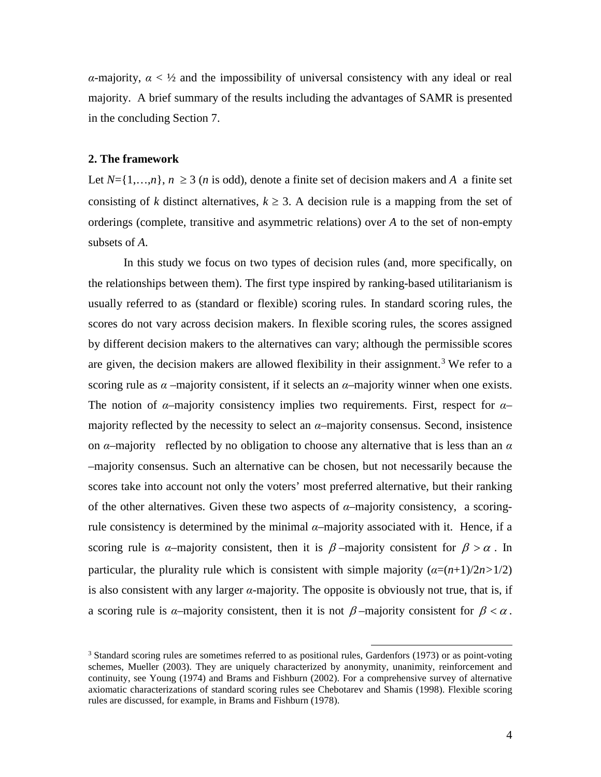*α*-majority,  $\alpha < \frac{1}{2}$  and the impossibility of universal consistency with any ideal or real majority. A brief summary of the results including the advantages of SAMR is presented in the concluding Section 7.

## **2. The framework**

Let  $N = \{1, \ldots, n\}$ ,  $n \geq 3$  (*n* is odd), denote a finite set of decision makers and *A* a finite set consisting of *k* distinct alternatives,  $k \geq 3$ . A decision rule is a mapping from the set of orderings (complete, transitive and asymmetric relations) over *A* to the set of non-empty subsets of *A*.

In this study we focus on two types of decision rules (and, more specifically, on the relationships between them). The first type inspired by ranking-based utilitarianism is usually referred to as (standard or flexible) scoring rules. In standard scoring rules, the scores do not vary across decision makers. In flexible scoring rules, the scores assigned by different decision makers to the alternatives can vary; although the permissible scores are given, the decision makers are allowed flexibility in their assignment.<sup>[3](#page-4-0)</sup> We refer to a scoring rule as  $\alpha$  –majority consistent, if it selects an  $\alpha$ –majority winner when one exists. The notion of *α*–majority consistency implies two requirements. First, respect for *α*– majority reflected by the necessity to select an  $\alpha$ –majority consensus. Second, insistence on  $\alpha$ –majority reflected by no obligation to choose any alternative that is less than an  $\alpha$ –majority consensus. Such an alternative can be chosen, but not necessarily because the scores take into account not only the voters' most preferred alternative, but their ranking of the other alternatives. Given these two aspects of *α*–majority consistency, a scoringrule consistency is determined by the minimal  $\alpha$ –majority associated with it. Hence, if a scoring rule is *α*–majority consistent, then it is  $\beta$ –majority consistent for  $\beta > \alpha$ . In particular, the plurality rule which is consistent with simple majority  $(a=(n+1)/2n>1/2)$ is also consistent with any larger *α-*majority*.* The opposite is obviously not true, that is, if a scoring rule is *α*–majority consistent, then it is not  $\beta$ –majority consistent for  $\beta < \alpha$ .

<span id="page-4-0"></span> $3$  Standard scoring rules are sometimes referred to as positional rules, Gardenfors (1973) or as point-voting schemes, Mueller (2003). They are uniquely characterized by anonymity, unanimity, reinforcement and continuity, see Young (1974) and Brams and Fishburn (2002). For a comprehensive survey of alternative axiomatic characterizations of standard scoring rules see Chebotarev and Shamis (1998). Flexible scoring rules are discussed, for example, in Brams and Fishburn (1978).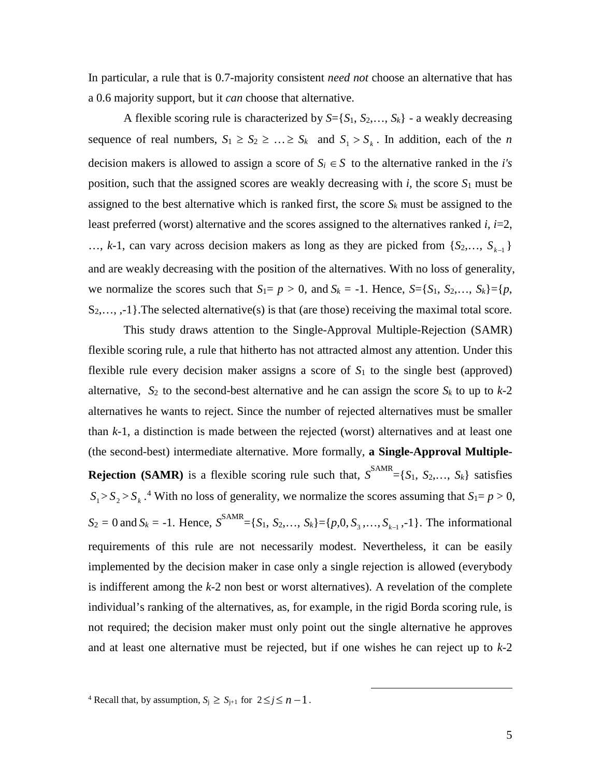In particular, a rule that is 0.7-majority consistent *need not* choose an alternative that has a 0.6 majority support, but it *can* choose that alternative.

A flexible scoring rule is characterized by  $S = \{S_1, S_2, \ldots, S_k\}$  - a weakly decreasing sequence of real numbers,  $S_1 \geq S_2 \geq \ldots \geq S_k$  and  $S_1 > S_k$ . In addition, each of the *n* decision makers is allowed to assign a score of  $S_i \in S$  to the alternative ranked in the *i's* position, such that the assigned scores are weakly decreasing with *i,* the score *S*<sup>1</sup> must be assigned to the best alternative which is ranked first, the score  $S_k$  must be assigned to the least preferred (worst) alternative and the scores assigned to the alternatives ranked *i*, *i*=2, …, *k*-1, can vary across decision makers as long as they are picked from {*S*<sub>2</sub>,…, *S*<sub>*k*−1</sub>} and are weakly decreasing with the position of the alternatives. With no loss of generality, we normalize the scores such that  $S_1 = p > 0$ , and  $S_k = -1$ . Hence,  $S = \{S_1, S_2, \ldots, S_k\} = \{p,$ S<sub>2</sub>,..., ,-1}. The selected alternative(s) is that (are those) receiving the maximal total score.

This study draws attention to the Single-Approval Multiple-Rejection (SAMR) flexible scoring rule, a rule that hitherto has not attracted almost any attention. Under this flexible rule every decision maker assigns a score of *S*<sup>1</sup> to the single best (approved) alternative,  $S_2$  to the second-best alternative and he can assign the score  $S_k$  to up to  $k-2$ alternatives he wants to reject. Since the number of rejected alternatives must be smaller than *k*-1, a distinction is made between the rejected (worst) alternatives and at least one (the second-best) intermediate alternative. More formally, **a Single-Approval Multiple-Rejection (SAMR)** is a flexible scoring rule such that,  $S^{SAMR} = \{S_1, S_2,..., S_k\}$  satisfies  $S_1 > S_2 > S_k$ .<sup>[4](#page-5-0)</sup> With no loss of generality, we normalize the scores assuming that  $S_1 = p > 0$ ,  $S_2 = 0$  and  $S_k = -1$ . Hence,  $S^{SAMR} = \{S_1, S_2, \ldots, S_k\} = \{p, 0, S_3, \ldots, S_{k-1}, -1\}$ . The informational requirements of this rule are not necessarily modest. Nevertheless, it can be easily implemented by the decision maker in case only a single rejection is allowed (everybody is indifferent among the *k*-2 non best or worst alternatives). A revelation of the complete individual's ranking of the alternatives, as, for example, in the rigid Borda scoring rule, is not required; the decision maker must only point out the single alternative he approves and at least one alternative must be rejected, but if one wishes he can reject up to *k*-2

 $\overline{a}$ 

<span id="page-5-0"></span><sup>&</sup>lt;sup>4</sup> Recall that, by assumption,  $S_i \geq S_{i+1}$  for  $2 \leq j \leq n-1$ .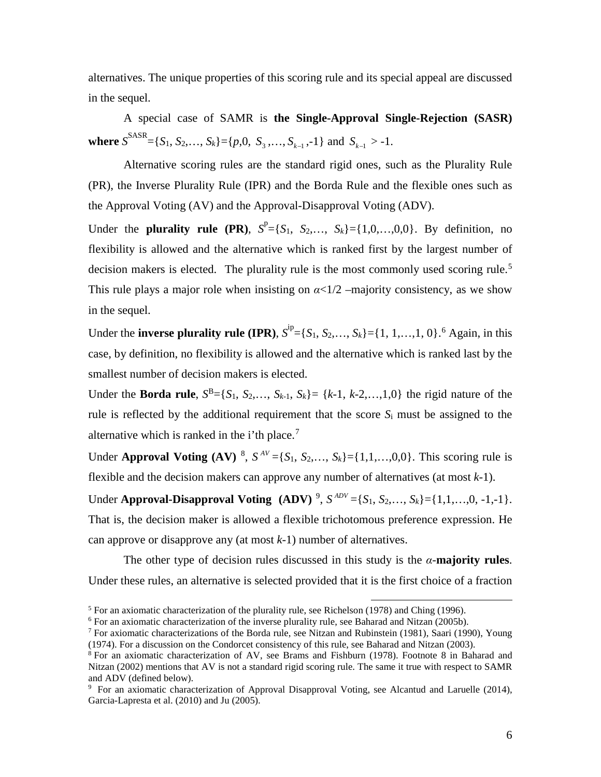alternatives. The unique properties of this scoring rule and its special appeal are discussed in the sequel.

A special case of SAMR is **the Single-Approval Single-Rejection (SASR) where**  $S^{SASR} = \{S_1, S_2, \ldots, S_k\} = \{p, 0, S_3, \ldots, S_{k-1}, -1\}$  and  $S_{k-1} > -1$ .

Alternative scoring rules are the standard rigid ones, such as the Plurality Rule (PR), the Inverse Plurality Rule (IPR) and the Borda Rule and the flexible ones such as the Approval Voting (AV) and the Approval-Disapproval Voting (ADV).

Under the **plurality rule** (PR),  $S^P = \{S_1, S_2, ..., S_k\} = \{1, 0, ..., 0, 0\}$ . By definition, no flexibility is allowed and the alternative which is ranked first by the largest number of decision makers is elected. The plurality rule is the most commonly used scoring rule.<sup>[5](#page-6-0)</sup> This rule plays a major role when insisting on  $\alpha < 1/2$  –majority consistency, as we show in the sequel.

Under the **inverse plurality rule** (IPR),  $S^{ip} = \{S_1, S_2, ..., S_k\} = \{1, 1, ..., 1, 0\}$ .<sup>[6](#page-6-1)</sup> Again, in this case, by definition, no flexibility is allowed and the alternative which is ranked last by the smallest number of decision makers is elected.

Under the **Borda rule**,  $S^B = \{S_1, S_2, ..., S_{k-1}, S_k\} = \{k-1, k-2, ..., 1, 0\}$  the rigid nature of the rule is reflected by the additional requirement that the score *S*<sup>i</sup> must be assigned to the alternative which is ranked in the i'th place.<sup>[7](#page-6-2)</sup>

Under **Approval Voting** (AV)<sup>[8](#page-6-3)</sup>,  $S^{AV} = \{S_1, S_2, \ldots, S_k\} = \{1, 1, \ldots, 0, 0\}$ . This scoring rule is flexible and the decision makers can approve any number of alternatives (at most *k*-1).

Under **Approval-Disapproval Voting** (ADV)<sup>[9](#page-6-4)</sup>,  $S^{ADV} = \{S_1, S_2, ..., S_k\} = \{1, 1, ..., 0, -1, -1\}$ . That is, the decision maker is allowed a flexible trichotomous preference expression. He can approve or disapprove any (at most *k*-1) number of alternatives.

The other type of decision rules discussed in this study is the  $\alpha$ -**majority rules**. Under these rules, an alternative is selected provided that it is the first choice of a fraction

<span id="page-6-0"></span> $<sup>5</sup>$  For an axiomatic characterization of the plurality rule, see Richelson (1978) and Ching (1996).</sup>

<span id="page-6-1"></span> $6$  For an axiomatic characterization of the inverse plurality rule, see Baharad and Nitzan (2005b).

<span id="page-6-2"></span><sup>&</sup>lt;sup>7</sup> For axiomatic characterizations of the Borda rule, see Nitzan and Rubinstein (1981), Saari (1990), Young (1974). For a discussion on the Condorcet consistency of this rule, see Baharad and Nitzan (2003).  $8$  For an axiomatic characterization of AV, see Brams and Fishburn (1978). Footnote 8 in Baharad and

<span id="page-6-3"></span>Nitzan (2002) mentions that AV is not a standard rigid scoring rule. The same it true with respect to SAMR and ADV (defined below).

<span id="page-6-4"></span><sup>&</sup>lt;sup>9</sup> For an axiomatic characterization of Approval Disapproval Voting, see Alcantud and Laruelle (2014), Garcia-Lapresta et al. (2010) and Ju (2005).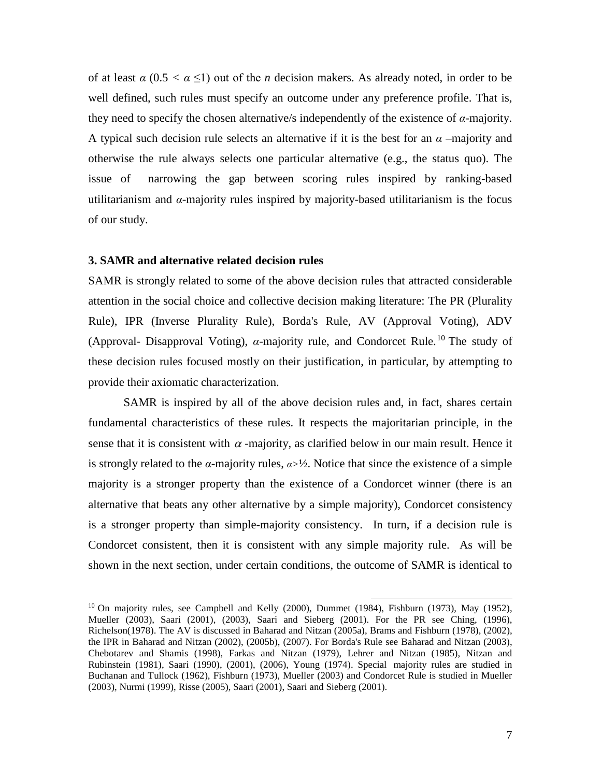of at least  $\alpha$  (0.5  $\lt \alpha \leq 1$ ) out of the *n* decision makers. As already noted, in order to be well defined, such rules must specify an outcome under any preference profile. That is, they need to specify the chosen alternative/s independently of the existence of *α*-majority. A typical such decision rule selects an alternative if it is the best for an  $\alpha$  –majority and otherwise the rule always selects one particular alternative (e.g., the status quo). The issue of narrowing the gap between scoring rules inspired by ranking-based utilitarianism and  $\alpha$ -majority rules inspired by majority-based utilitarianism is the focus of our study.

## **3. SAMR and alternative related decision rules**

SAMR is strongly related to some of the above decision rules that attracted considerable attention in the social choice and collective decision making literature: The PR (Plurality Rule), IPR (Inverse Plurality Rule), Borda's Rule, AV (Approval Voting), ADV (Approval- Disapproval Voting),  $\alpha$ -majority rule, and Condorcet Rule.<sup>[10](#page-7-0)</sup> The study of these decision rules focused mostly on their justification, in particular, by attempting to provide their axiomatic characterization.

SAMR is inspired by all of the above decision rules and, in fact, shares certain fundamental characteristics of these rules. It respects the majoritarian principle, in the sense that it is consistent with  $\alpha$ -majority, as clarified below in our main result. Hence it is strongly related to the *α*-majority rules,  $a > \frac{1}{2}$ . Notice that since the existence of a simple majority is a stronger property than the existence of a Condorcet winner (there is an alternative that beats any other alternative by a simple majority), Condorcet consistency is a stronger property than simple-majority consistency. In turn, if a decision rule is Condorcet consistent, then it is consistent with any simple majority rule. As will be shown in the next section, under certain conditions, the outcome of SAMR is identical to

<span id="page-7-0"></span> $10$  On majority rules, see Campbell and Kelly (2000), Dummet (1984), Fishburn (1973), May (1952), Mueller (2003), Saari (2001), (2003), Saari and Sieberg (2001). For the PR see Ching, (1996), Richelson(1978). The AV is discussed in Baharad and Nitzan (2005a), Brams and Fishburn (1978), (2002), the IPR in Baharad and Nitzan (2002), (2005b), (2007). For Borda's Rule see Baharad and Nitzan (2003), Chebotarev and Shamis (1998), Farkas and Nitzan (1979), Lehrer and Nitzan (1985), Nitzan and Rubinstein (1981), Saari (1990), (2001), (2006), Young (1974). Special majority rules are studied in Buchanan and Tullock (1962), Fishburn (1973), Mueller (2003) and Condorcet Rule is studied in Mueller (2003), Nurmi (1999), Risse (2005), Saari (2001), Saari and Sieberg (2001).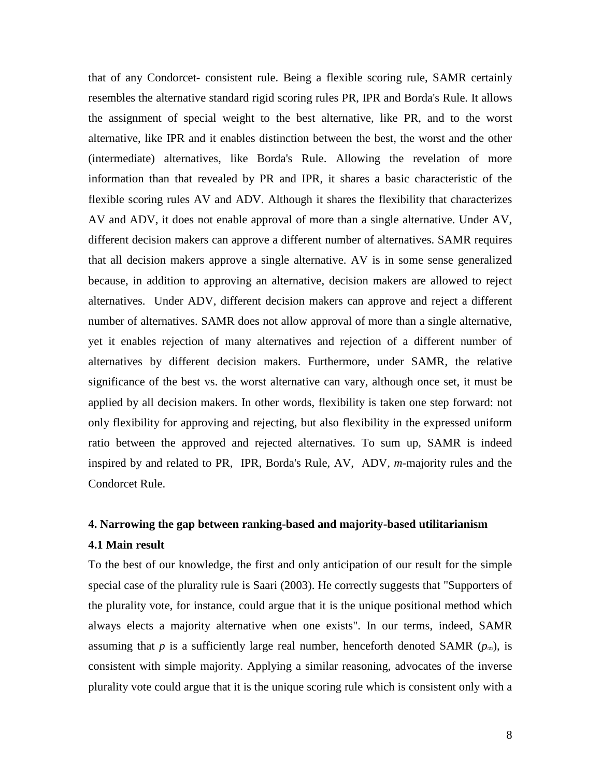that of any Condorcet- consistent rule. Being a flexible scoring rule, SAMR certainly resembles the alternative standard rigid scoring rules PR, IPR and Borda's Rule. It allows the assignment of special weight to the best alternative, like PR, and to the worst alternative, like IPR and it enables distinction between the best, the worst and the other (intermediate) alternatives, like Borda's Rule. Allowing the revelation of more information than that revealed by PR and IPR, it shares a basic characteristic of the flexible scoring rules AV and ADV. Although it shares the flexibility that characterizes AV and ADV, it does not enable approval of more than a single alternative. Under AV, different decision makers can approve a different number of alternatives. SAMR requires that all decision makers approve a single alternative. AV is in some sense generalized because, in addition to approving an alternative, decision makers are allowed to reject alternatives. Under ADV, different decision makers can approve and reject a different number of alternatives. SAMR does not allow approval of more than a single alternative, yet it enables rejection of many alternatives and rejection of a different number of alternatives by different decision makers. Furthermore, under SAMR, the relative significance of the best vs. the worst alternative can vary, although once set, it must be applied by all decision makers. In other words, flexibility is taken one step forward: not only flexibility for approving and rejecting, but also flexibility in the expressed uniform ratio between the approved and rejected alternatives. To sum up, SAMR is indeed inspired by and related to PR, IPR, Borda's Rule, AV, ADV, *m*-majority rules and the Condorcet Rule.

## **4. Narrowing the gap between ranking-based and majority-based utilitarianism**

## **4.1 Main result**

To the best of our knowledge, the first and only anticipation of our result for the simple special case of the plurality rule is Saari (2003). He correctly suggests that "Supporters of the plurality vote, for instance, could argue that it is the unique positional method which always elects a majority alternative when one exists". In our terms, indeed, SAMR assuming that *p* is a sufficiently large real number, henceforth denoted SAMR ( $p_{\infty}$ ), is consistent with simple majority. Applying a similar reasoning, advocates of the inverse plurality vote could argue that it is the unique scoring rule which is consistent only with a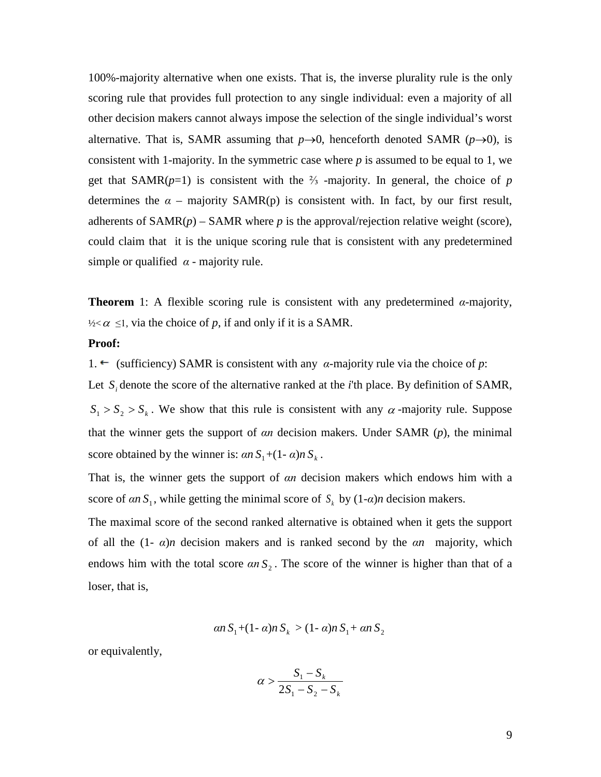100%-majority alternative when one exists. That is, the inverse plurality rule is the only scoring rule that provides full protection to any single individual: even a majority of all other decision makers cannot always impose the selection of the single individual's worst alternative. That is, SAMR assuming that  $p\rightarrow 0$ , henceforth denoted SAMR ( $p\rightarrow 0$ ), is consistent with 1-majority. In the symmetric case where *p* is assumed to be equal to 1, we get that  $SAMR(p=1)$  is consistent with the <sup>2</sup>/<sub>3</sub> -majority. In general, the choice of *p* determines the  $\alpha$  – majority SAMR(p) is consistent with. In fact, by our first result, adherents of  $SAMR(p) - SAMR$  where *p* is the approval/rejection relative weight (score), could claim that it is the unique scoring rule that is consistent with any predetermined simple or qualified  $\alpha$  - majority rule.

**Theorem** 1: A flexible scoring rule is consistent with any predetermined *α-*majority,  $\frac{1}{2}$  ≤1, via the choice of *p*, if and only if it is a SAMR.

## **Proof:**

1. ← (sufficiency) SAMR is consistent with any *α*-majority rule via the choice of *p*:

Let *S*, denote the score of the alternative ranked at the *i*'th place. By definition of SAMR,

 $S_1 > S_2 > S_k$ . We show that this rule is consistent with any  $\alpha$ -majority rule. Suppose that the winner gets the support of *αn* decision makers. Under SAMR (*p*), the minimal score obtained by the winner is:  $\alpha n S_1 + (1 - \alpha)n S_k$ .

That is, the winner gets the support of *αn* decision makers which endows him with a score of  $\alpha n S_1$ , while getting the minimal score of  $S_k$  by  $(1-\alpha)n$  decision makers.

The maximal score of the second ranked alternative is obtained when it gets the support of all the (1- *α*)*n* decision makers and is ranked second by the *αn* majority, which endows him with the total score  $\alpha n S_2$ . The score of the winner is higher than that of a loser, that is,

$$
\alpha n S_1 + (1 - \alpha) n S_k > (1 - \alpha) n S_1 + \alpha n S_2
$$

or equivalently,

$$
\alpha > \frac{S_1 - S_k}{2S_1 - S_2 - S_k}
$$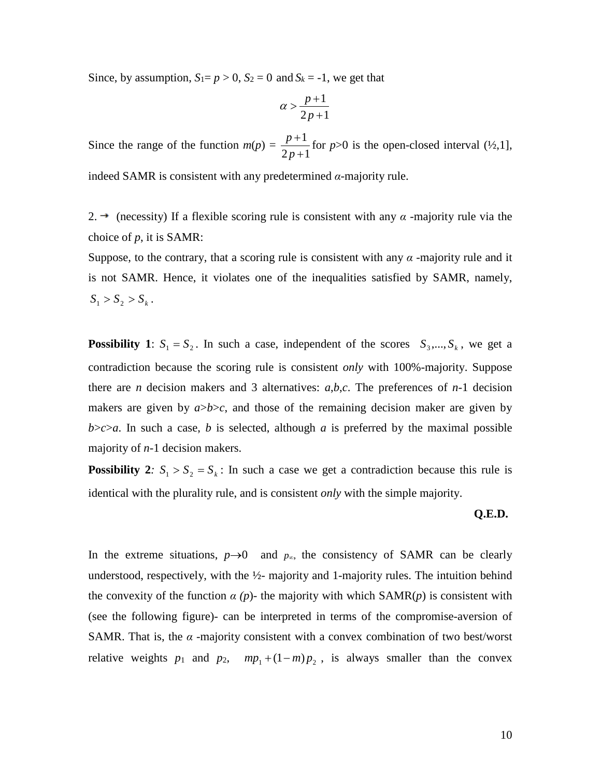Since, by assumption,  $S_1 = p > 0$ ,  $S_2 = 0$  and  $S_k = -1$ , we get that

$$
\alpha > \frac{p+1}{2p+1}
$$

Since the range of the function  $m(p) = \frac{p+1}{2}$  $2p+1$ *p p* + + for  $p>0$  is the open-closed interval  $(\frac{1}{2},1]$ ,

indeed SAMR is consistent with any predetermined *α*-majority rule.

2.  $\rightarrow$  (necessity) If a flexible scoring rule is consistent with any  $\alpha$  -majority rule via the choice of *p*, it is SAMR:

Suppose, to the contrary, that a scoring rule is consistent with any  $\alpha$ -majority rule and it is not SAMR. Hence, it violates one of the inequalities satisfied by SAMR, namely,  $S_1 > S_2 > S_k$ .

**Possibility 1**:  $S_1 = S_2$ . In such a case, independent of the scores  $S_3, \ldots, S_k$ , we get a contradiction because the scoring rule is consistent *only* with 100%-majority. Suppose there are *n* decision makers and 3 alternatives: *a*,*b*,*c*. The preferences of *n*-1 decision makers are given by  $a > b > c$ , and those of the remaining decision maker are given by  $b$ >*c*>*a*. In such a case, *b* is selected, although *a* is preferred by the maximal possible majority of *n*-1 decision makers.

**Possibility 2***:*  $S_1 > S_2 = S_k$  : In such a case we get a contradiction because this rule is identical with the plurality rule, and is consistent *only* with the simple majority.

# **Q.E.D.**

In the extreme situations,  $p\rightarrow 0$  and  $p_{\infty}$ , the consistency of SAMR can be clearly understood, respectively, with the  $\frac{1}{2}$ - majority and 1-majority rules. The intuition behind the convexity of the function  $\alpha$  (p)- the majority with which  $SAMR(p)$  is consistent with (see the following figure)- can be interpreted in terms of the compromise-aversion of SAMR. That is, the  $\alpha$  -majority consistent with a convex combination of two best/worst relative weights  $p_1$  and  $p_2$ ,  $mp_1 + (1-m)p_2$ , is always smaller than the convex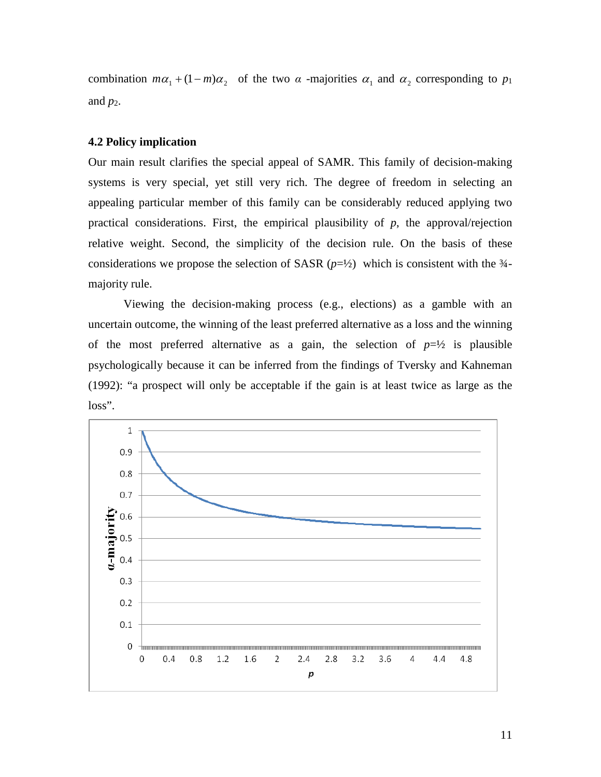combination  $m\alpha_1 + (1 - m)\alpha_2$  of the two  $\alpha$  -majorities  $\alpha_1$  and  $\alpha_2$  corresponding to  $p_1$ and  $p_2$ .

## **4.2 Policy implication**

Our main result clarifies the special appeal of SAMR. This family of decision-making systems is very special, yet still very rich. The degree of freedom in selecting an appealing particular member of this family can be considerably reduced applying two practical considerations. First, the empirical plausibility of *p*, the approval/rejection relative weight. Second, the simplicity of the decision rule. On the basis of these considerations we propose the selection of SASR  $(p=\frac{1}{2})$  which is consistent with the  $\frac{3}{4}$ majority rule.

Viewing the decision-making process (e.g., elections) as a gamble with an uncertain outcome, the winning of the least preferred alternative as a loss and the winning of the most preferred alternative as a gain, the selection of  $p=\frac{1}{2}$  is plausible psychologically because it can be inferred from the findings of Tversky and Kahneman (1992): "a prospect will only be acceptable if the gain is at least twice as large as the loss".

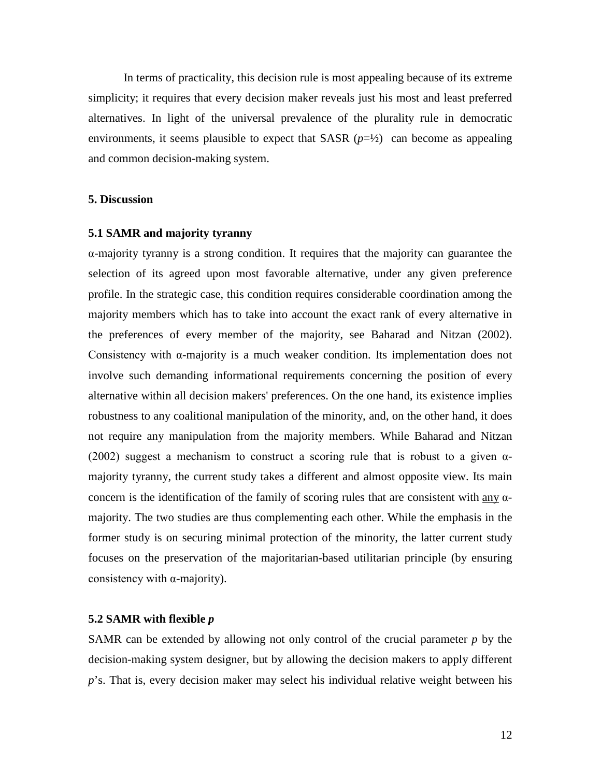In terms of practicality, this decision rule is most appealing because of its extreme simplicity; it requires that every decision maker reveals just his most and least preferred alternatives. In light of the universal prevalence of the plurality rule in democratic environments, it seems plausible to expect that SASR  $(p=\frac{1}{2})$  can become as appealing and common decision-making system.

## **5. Discussion**

### **5.1 SAMR and majority tyranny**

α-majority tyranny is a strong condition. It requires that the majority can guarantee the selection of its agreed upon most favorable alternative, under any given preference profile. In the strategic case, this condition requires considerable coordination among the majority members which has to take into account the exact rank of every alternative in the preferences of every member of the majority, see Baharad and Nitzan (2002). Consistency with  $\alpha$ -majority is a much weaker condition. Its implementation does not involve such demanding informational requirements concerning the position of every alternative within all decision makers' preferences. On the one hand, its existence implies robustness to any coalitional manipulation of the minority, and, on the other hand, it does not require any manipulation from the majority members. While Baharad and Nitzan (2002) suggest a mechanism to construct a scoring rule that is robust to a given  $\alpha$ majority tyranny, the current study takes a different and almost opposite view. Its main concern is the identification of the family of scoring rules that are consistent with any  $\alpha$ majority. The two studies are thus complementing each other. While the emphasis in the former study is on securing minimal protection of the minority, the latter current study focuses on the preservation of the majoritarian-based utilitarian principle (by ensuring consistency with α-majority).

#### **5.2 SAMR with flexible** *p*

SAMR can be extended by allowing not only control of the crucial parameter *p* by the decision-making system designer, but by allowing the decision makers to apply different p's. That is, every decision maker may select his individual relative weight between his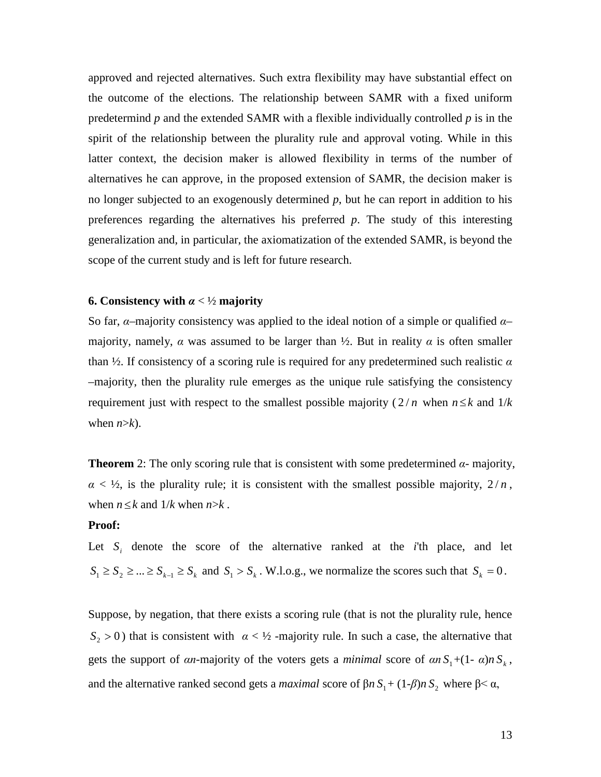approved and rejected alternatives. Such extra flexibility may have substantial effect on the outcome of the elections. The relationship between SAMR with a fixed uniform predetermind *p* and the extended SAMR with a flexible individually controlled *p* is in the spirit of the relationship between the plurality rule and approval voting. While in this latter context, the decision maker is allowed flexibility in terms of the number of alternatives he can approve, in the proposed extension of SAMR, the decision maker is no longer subjected to an exogenously determined *p*, but he can report in addition to his preferences regarding the alternatives his preferred *p*. The study of this interesting generalization and, in particular, the axiomatization of the extended SAMR, is beyond the scope of the current study and is left for future research.

## **6. Consistency with** *α* < ½ **majority**

So far, *α*–majority consistency was applied to the ideal notion of a simple or qualified *α*– majority, namely,  $\alpha$  was assumed to be larger than  $\frac{1}{2}$ . But in reality  $\alpha$  is often smaller than ½. If consistency of a scoring rule is required for any predetermined such realistic *α* –majority, then the plurality rule emerges as the unique rule satisfying the consistency requirement just with respect to the smallest possible majority  $(2/n)$  when  $n \leq k$  and  $1/k$ when  $n > k$ ).

**Theorem** 2: The only scoring rule that is consistent with some predetermined  $\alpha$ - majority,  $\alpha$  < ½, is the plurality rule; it is consistent with the smallest possible majority,  $2/n$ , when  $n \leq k$  and  $1/k$  when  $n > k$ .

### **Proof:**

Let *S<sub>i</sub>* denote the score of the alternative ranked at the *i*'th place, and let  $S_1 \geq S_2 \geq \ldots \geq S_{k-1} \geq S_k$  and  $S_1 > S_k$ . W.l.o.g., we normalize the scores such that  $S_k = 0$ .

Suppose, by negation, that there exists a scoring rule (that is not the plurality rule, hence  $S_2 > 0$ ) that is consistent with  $\alpha < \frac{1}{2}$ -majority rule. In such a case, the alternative that gets the support of *αn*-majority of the voters gets a *minimal* score of  $\alpha n S_1 + (1 - \alpha)n S_k$ , and the alternative ranked second gets a *maximal* score of  $\beta n S_1 + (1-\beta)n S_2$  where  $\beta < \alpha$ ,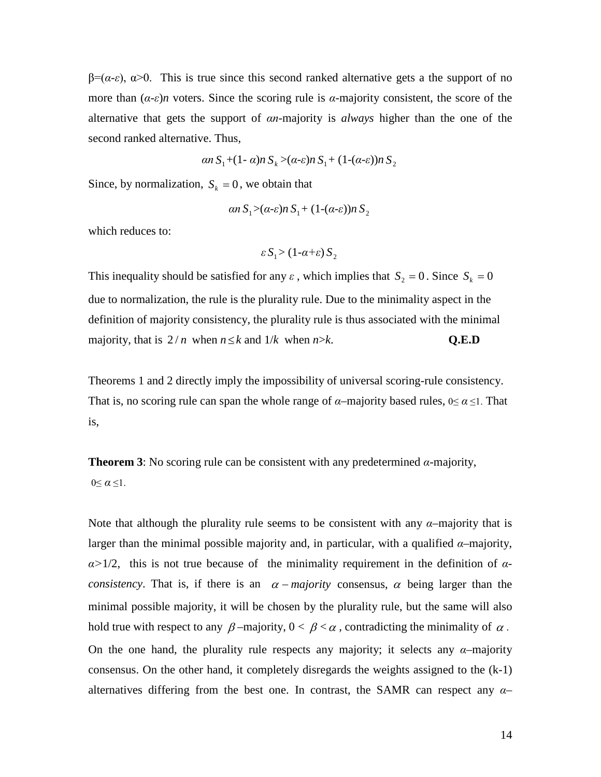$\beta = (\alpha - \varepsilon)$ ,  $\alpha > 0$ . This is true since this second ranked alternative gets a the support of no more than  $(a-\varepsilon)n$  voters. Since the scoring rule is  $\alpha$ -majority consistent, the score of the alternative that gets the support of *αn*-majority is *always* higher than the one of the second ranked alternative. Thus,

$$
\alpha n S_1 + (1 - \alpha) n S_k > (\alpha - \varepsilon) n S_1 + (1 - (\alpha - \varepsilon)) n S_2
$$

Since, by normalization,  $S_k = 0$ , we obtain that

$$
\alpha n S_1 > (\alpha \text{-} \varepsilon) n S_1 + (1 \text{-} (\alpha \text{-} \varepsilon)) n S_2
$$

which reduces to:

$$
\varepsilon S_1 > (1 - \alpha + \varepsilon) S_2
$$

This inequality should be satisfied for any  $\varepsilon$ , which implies that  $S_2 = 0$ . Since  $S_k = 0$ due to normalization, the rule is the plurality rule. Due to the minimality aspect in the definition of majority consistency, the plurality rule is thus associated with the minimal majority, that is  $2/n$  when  $n \le k$  and  $1/k$  when  $n > k$ . **Q.E.D** 

Theorems 1 and 2 directly imply the impossibility of universal scoring-rule consistency. That is, no scoring rule can span the whole range of  $\alpha$ –majority based rules,  $0 \le \alpha \le 1$ . That is,

**Theorem 3**: No scoring rule can be consistent with any predetermined  $\alpha$ -majority,  $0 \leq \alpha \leq 1$ .

Note that although the plurality rule seems to be consistent with any *α*–majority that is larger than the minimal possible majority and, in particular, with a qualified  $\alpha$ -majority, *α>*1/2, this is not true because of the minimality requirement in the definition of *αconsistency*. That is, if there is an  $\alpha$  − *majority* consensus,  $\alpha$  being larger than the minimal possible majority, it will be chosen by the plurality rule, but the same will also hold true with respect to any  $\beta$ -majority,  $0 < \beta < \alpha$ , contradicting the minimality of  $\alpha$ . On the one hand, the plurality rule respects any majority; it selects any  $\alpha$ -majority consensus. On the other hand, it completely disregards the weights assigned to the (k-1) alternatives differing from the best one. In contrast, the SAMR can respect any *α*–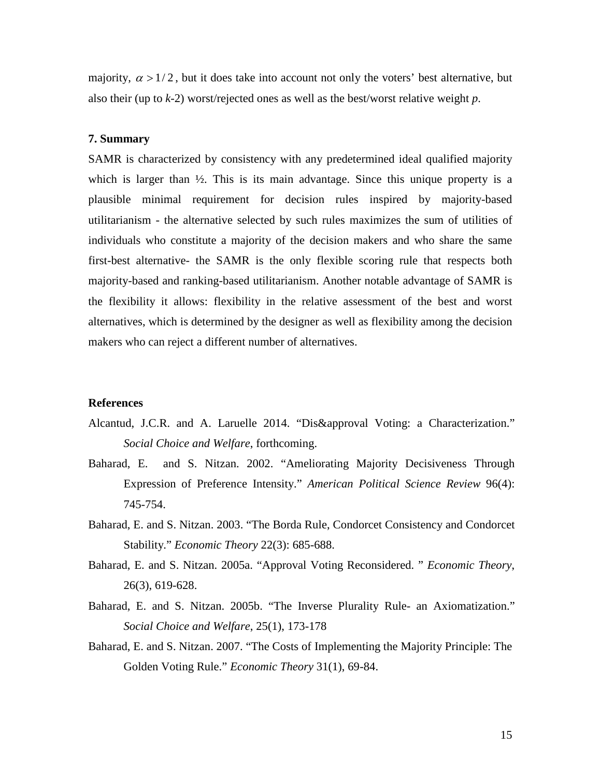majority,  $\alpha > 1/2$ , but it does take into account not only the voters' best alternative, but also their (up to *k*-2) worst/rejected ones as well as the best/worst relative weight *p*.

## **7. Summary**

SAMR is characterized by consistency with any predetermined ideal qualified majority which is larger than  $\frac{1}{2}$ . This is its main advantage. Since this unique property is a plausible minimal requirement for decision rules inspired by majority-based utilitarianism - the alternative selected by such rules maximizes the sum of utilities of individuals who constitute a majority of the decision makers and who share the same first-best alternative- the SAMR is the only flexible scoring rule that respects both majority-based and ranking-based utilitarianism. Another notable advantage of SAMR is the flexibility it allows: flexibility in the relative assessment of the best and worst alternatives, which is determined by the designer as well as flexibility among the decision makers who can reject a different number of alternatives.

### **References**

- Alcantud, J.C.R. and A. Laruelle 2014. "Dis&approval Voting: a Characterization." *Social Choice and Welfare*, forthcoming.
- Baharad, E. and S. Nitzan. 2002. "Ameliorating Majority Decisiveness Through Expression of Preference Intensity." *American Political Science Review* 96(4): 745-754.
- Baharad, E. and S. Nitzan. 2003. "The Borda Rule, Condorcet Consistency and Condorcet Stability." *Economic Theory* 22(3): 685-688.
- Baharad, E. and S. Nitzan. 2005a. "Approval Voting Reconsidered. " *Economic Theory*, 26(3), 619-628.
- Baharad, E. and S. Nitzan. 2005b. "The Inverse Plurality Rule- an Axiomatization." *Social Choice and Welfare*, 25(1), 173-178
- Baharad, E. and S. Nitzan. 2007. "The Costs of Implementing the Majority Principle: The Golden Voting Rule." *Economic Theory* 31(1), 69-84.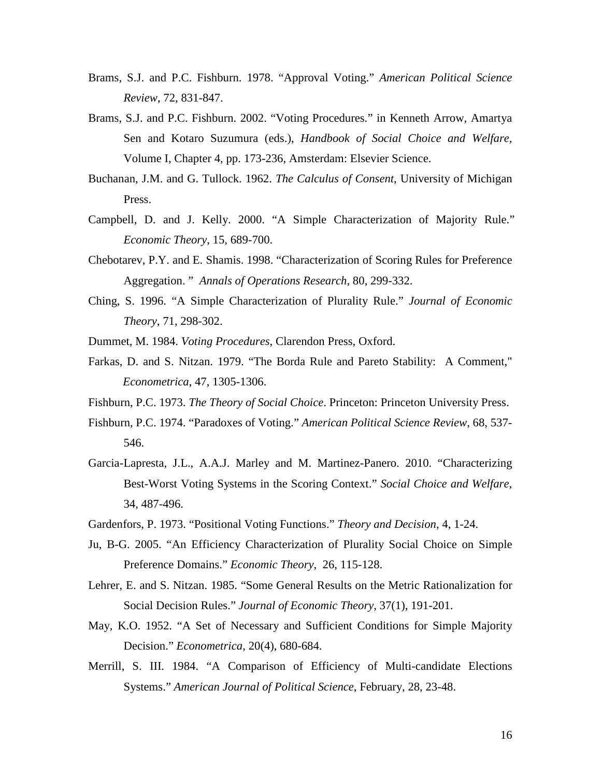- Brams, S.J. and P.C. Fishburn. 1978. "Approval Voting." *American Political Science Review*, 72, 831-847.
- Brams, S.J. and P.C. Fishburn. 2002. "Voting Procedures." in Kenneth Arrow, Amartya Sen and Kotaro Suzumura (eds.), *Handbook of Social Choice and Welfare,*  Volume I, Chapter 4, pp. 173-236, Amsterdam: Elsevier Science.
- Buchanan, J.M. and G. Tullock. 1962. *The Calculus of Consent*, University of Michigan Press.
- Campbell, D. and J. Kelly. 2000. "A Simple Characterization of Majority Rule." *Economic Theory*, 15, 689-700.
- Chebotarev, P.Y. and E. Shamis. 1998. "Characterization of Scoring Rules for Preference Aggregation. " *Annals of Operations Research*, 80, 299-332.
- Ching, S. 1996. "A Simple Characterization of Plurality Rule." *Journal of Economic Theory*, 71, 298-302.
- Dummet, M. 1984. *Voting Procedures*, Clarendon Press, Oxford.
- Farkas, D. and S. Nitzan. 1979. "The Borda Rule and Pareto Stability: A Comment," *Econometrica*, 47, 1305-1306.
- Fishburn, P.C. 1973. *The Theory of Social Choice*. Princeton: Princeton University Press.
- Fishburn, P.C. 1974. "Paradoxes of Voting." *American Political Science Review*, 68, 537- 546.
- Garcia-Lapresta, J.L., A.A.J. Marley and M. Martinez-Panero. 2010. "Characterizing Best-Worst Voting Systems in the Scoring Context." *Social Choice and Welfare*, 34, 487-496.
- Gardenfors, P. 1973. "Positional Voting Functions." *Theory and Decision*, 4, 1-24.
- Ju, B-G. 2005. "An Efficiency Characterization of Plurality Social Choice on Simple Preference Domains." *Economic Theory*, 26, 115-128.
- Lehrer, E. and S. Nitzan. 1985. "Some General Results on the Metric Rationalization for Social Decision Rules." *Journal of Economic Theory*, 37(1), 191-201.
- May, K.O. 1952. "A Set of Necessary and Sufficient Conditions for Simple Majority Decision." *Econometrica*, 20(4), 680-684.
- Merrill, S. III. 1984. "A Comparison of Efficiency of Multi-candidate Elections Systems." *American Journal of Political Science*, February, 28, 23-48.